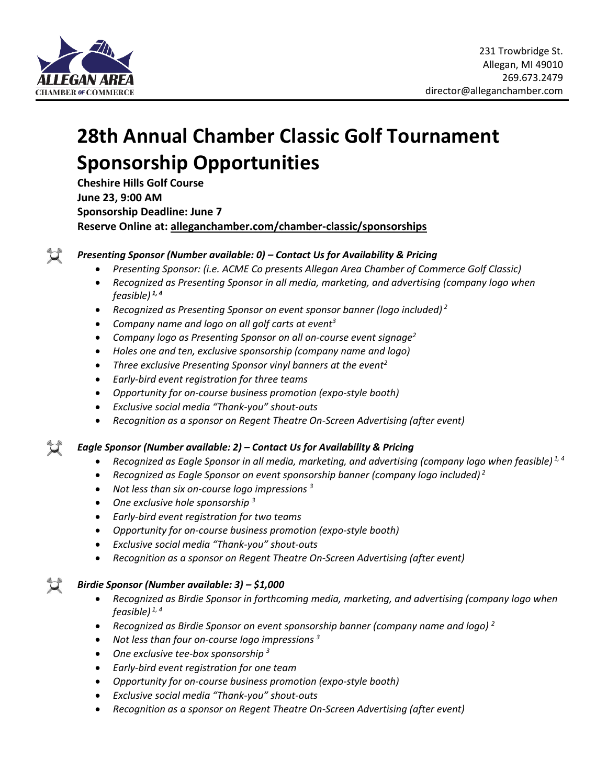

# **28th Annual Chamber Classic Golf Tournament Sponsorship Opportunities**

**Cheshire Hills Golf Course June 23, 9:00 AM Sponsorship Deadline: June 7 Reserve Online at: alleganchamber.com/chamber-classic/sponsorships**

### $\sigma$ *Presenting Sponsor (Number available: 0) – Contact Us for Availability & Pricing*

- *Presenting Sponsor: (i.e. ACME Co presents Allegan Area Chamber of Commerce Golf Classic)*
- *Recognized as Presenting Sponsor in all media, marketing, and advertising (company logo when feasible) 1, 4*
- *Recognized as Presenting Sponsor on event sponsor banner (logo included) <sup>2</sup>*
- *Company name and logo on all golf carts at event<sup>3</sup>*
- *Company logo as Presenting Sponsor on all on-course event signage<sup>2</sup>*
- *Holes one and ten, exclusive sponsorship (company name and logo)*
- *Three exclusive Presenting Sponsor vinyl banners at the event<sup>2</sup>*
- *Early-bird event registration for three teams*
- *Opportunity for on-course business promotion (expo-style booth)*
- *Exclusive social media "Thank-you" shout-outs*
- *Recognition as a sponsor on Regent Theatre On-Screen Advertising (after event)*

### *Eagle Sponsor (Number available: 2) – Contact Us for Availability & Pricing*

- *Recognized as Eagle Sponsor in all media, marketing, and advertising (company logo when feasible) 1, 4*
- *Recognized as Eagle Sponsor on event sponsorship banner (company logo included) <sup>2</sup>*
- *Not less than six on-course logo impressions <sup>3</sup>*
- *One exclusive hole sponsorship <sup>3</sup>*
- *Early-bird event registration for two teams*
- *Opportunity for on-course business promotion (expo-style booth)*
- *Exclusive social media "Thank-you" shout-outs*
- *Recognition as a sponsor on Regent Theatre On-Screen Advertising (after event)*

### *Birdie Sponsor (Number available: 3) – \$1,000*

- *Recognized as Birdie Sponsor in forthcoming media, marketing, and advertising (company logo when feasible) 1, 4*
- *Recognized as Birdie Sponsor on event sponsorship banner (company name and logo) <sup>2</sup>*
- *Not less than four on-course logo impressions <sup>3</sup>*
- *One exclusive tee-box sponsorship <sup>3</sup>*
- *Early-bird event registration for one team*
- *Opportunity for on-course business promotion (expo-style booth)*
- *Exclusive social media "Thank-you" shout-outs*
- *Recognition as a sponsor on Regent Theatre On-Screen Advertising (after event)*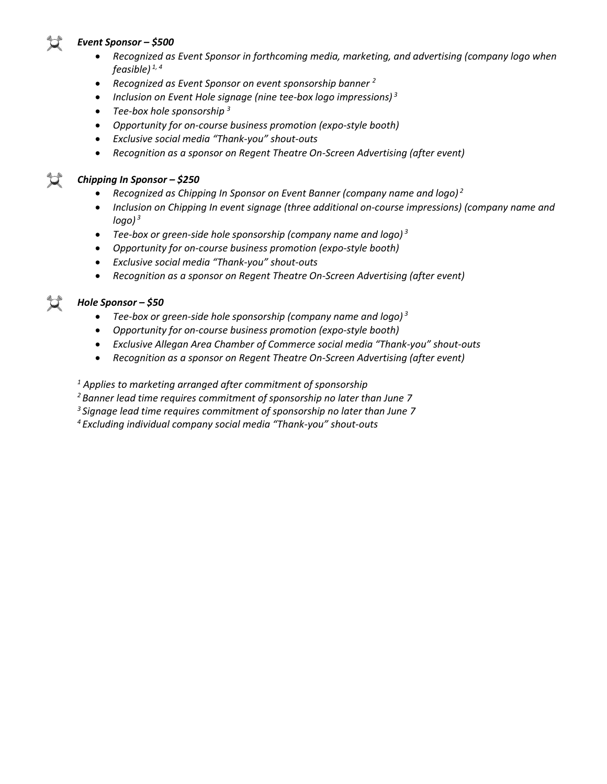### *Event Sponsor – \$500*

- *Recognized as Event Sponsor in forthcoming media, marketing, and advertising (company logo when feasible) 1, 4*
- *Recognized as Event Sponsor on event sponsorship banner <sup>2</sup>*
- *Inclusion on Event Hole signage (nine tee-box logo impressions) <sup>3</sup>*
- *Tee-box hole sponsorship <sup>3</sup>*
- *Opportunity for on-course business promotion (expo-style booth)*
- *Exclusive social media "Thank-you" shout-outs*
- *Recognition as a sponsor on Regent Theatre On-Screen Advertising (after event)*



### *Chipping In Sponsor – \$250*

- *Recognized as Chipping In Sponsor on Event Banner (company name and logo) <sup>2</sup>*
- *Inclusion on Chipping In event signage (three additional on-course impressions) (company name and*   $logo$ <sup>3</sup>
- *Tee-box or green-side hole sponsorship (company name and logo) <sup>3</sup>*
- *Opportunity for on-course business promotion (expo-style booth)*
- *Exclusive social media "Thank-you" shout-outs*
- *Recognition as a sponsor on Regent Theatre On-Screen Advertising (after event)*



### *Hole Sponsor – \$50*

- *Tee-box or green-side hole sponsorship (company name and logo) <sup>3</sup>*
- *Opportunity for on-course business promotion (expo-style booth)*
- *Exclusive Allegan Area Chamber of Commerce social media "Thank-you" shout-outs*
- *Recognition as a sponsor on Regent Theatre On-Screen Advertising (after event)*

*<sup>1</sup> Applies to marketing arranged after commitment of sponsorship*

*<sup>2</sup>Banner lead time requires commitment of sponsorship no later than June 7*

- *<sup>3</sup>Signage lead time requires commitment of sponsorship no later than June 7*
- *4 Excluding individual company social media "Thank-you" shout-outs*